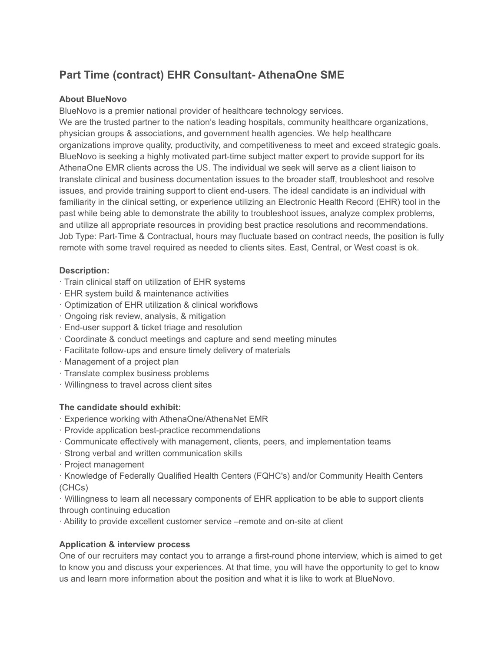# **Part Time (contract) EHR Consultant- AthenaOne SME**

#### **About BlueNovo**

BlueNovo is a premier national provider of healthcare technology services.

We are the trusted partner to the nation's leading hospitals, community healthcare organizations, physician groups & associations, and government health agencies. We help healthcare organizations improve quality, productivity, and competitiveness to meet and exceed strategic goals. BlueNovo is seeking a highly motivated part-time subject matter expert to provide support for its AthenaOne EMR clients across the US. The individual we seek will serve as a client liaison to translate clinical and business documentation issues to the broader staff, troubleshoot and resolve issues, and provide training support to client end-users. The ideal candidate is an individual with familiarity in the clinical setting, or experience utilizing an Electronic Health Record (EHR) tool in the past while being able to demonstrate the ability to troubleshoot issues, analyze complex problems, and utilize all appropriate resources in providing best practice resolutions and recommendations. Job Type: Part-Time & Contractual, hours may fluctuate based on contract needs, the position is fully remote with some travel required as needed to clients sites. East, Central, or West coast is ok.

## **Description:**

- · Train clinical staff on utilization of EHR systems
- · EHR system build & maintenance activities
- · Optimization of EHR utilization & clinical workflows
- · Ongoing risk review, analysis, & mitigation
- · End-user support & ticket triage and resolution
- · Coordinate & conduct meetings and capture and send meeting minutes
- · Facilitate follow-ups and ensure timely delivery of materials
- · Management of a project plan
- · Translate complex business problems
- · Willingness to travel across client sites

#### **The candidate should exhibit:**

- · Experience working with AthenaOne/AthenaNet EMR
- · Provide application best-practice recommendations
- · Communicate effectively with management, clients, peers, and implementation teams
- · Strong verbal and written communication skills
- · Project management
- · Knowledge of Federally Qualified Health Centers (FQHC's) and/or Community Health Centers (CHCs)

· Willingness to learn all necessary components of EHR application to be able to support clients through continuing education

· Ability to provide excellent customer service –remote and on-site at client

## **Application & interview process**

One of our recruiters may contact you to arrange a first-round phone interview, which is aimed to get to know you and discuss your experiences. At that time, you will have the opportunity to get to know us and learn more information about the position and what it is like to work at BlueNovo.